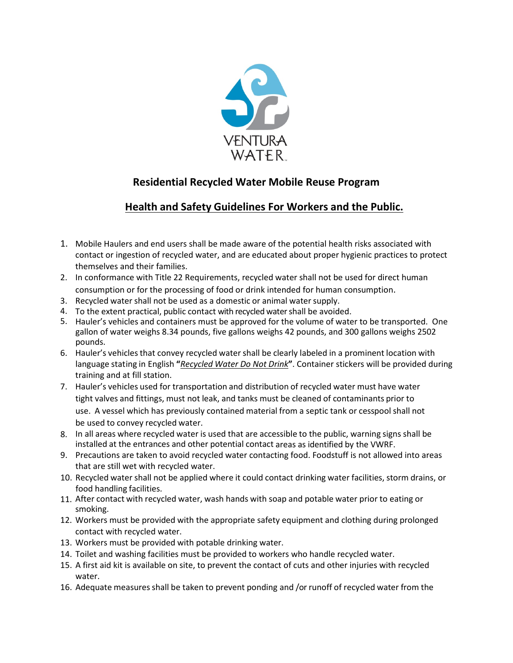

## **Residential Recycled Water Mobile Reuse Program**

## **Health and Safety Guidelines For Workers and the Public.**

- 1. Mobile Haulers and end users shall be made aware of the potential health risks associated with contact or ingestion of recycled water, and are educated about proper hygienic practices to protect themselves and their families.
- 2. In conformance with Title 22 Requirements, recycled water shall not be used for direct human consumption or for the processing of food or drink intended for human consumption.
- 3. Recycled water shall not be used as a domestic or animal watersupply.
- 4. To the extent practical, public contact with recycled water shall be avoided.
- 5. Hauler's vehicles and containers must be approved for the volume of water to be transported. One gallon of water weighs 8.34 pounds, five gallons weighs 42 pounds, and 300 gallons weighs 2502 pounds.
- 6. Hauler's vehicles that convey recycled water shall be clearly labeled in a prominent location with language stating in English **"***Recycled Water Do Not Drink***"**. Container stickers will be provided during training and at fill station.
- 7. Hauler's vehicles used for transportation and distribution of recycled water must have water tight valves and fittings, must not leak, and tanks must be cleaned of contaminants prior to use. A vessel which has previously contained material from a septic tank or cesspoolshall not be used to convey recycled water.
- 8. In all areas where recycled water is used that are accessible to the public, warning signs shall be installed at the entrances and other potential contact areas as identified by the VWRF.
- 9. Precautions are taken to avoid recycled water contacting food. Foodstuff is not allowed into areas that are still wet with recycled water.
- 10. Recycled water shall not be applied where it could contact drinking water facilities, storm drains, or food handling facilities.
- 11. After contact with recycled water, wash hands with soap and potable water prior to eating or smoking.
- 12. Workers must be provided with the appropriate safety equipment and clothing during prolonged contact with recycled water.
- 13. Workers must be provided with potable drinking water.
- 14. Toilet and washing facilities must be provided to workers who handle recycled water.
- 15. A first aid kit is available on site, to prevent the contact of cuts and other injuries with recycled water.
- 16. Adequate measuresshall be taken to prevent ponding and /or runoff of recycled water from the